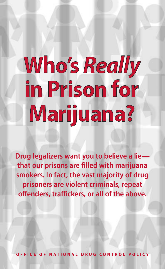## **Who's Really** in Prison for Marijuana?

**Drug legalizers want you to believe a lie that our prisons are filled with marijuana smokers. In fact, the vast majority of drug prisoners are violent criminals, repeat offenders, traffickers, or all of the above.**

**OFFICE OF NA TIONAL DR UG C ONTROL POLIC Y**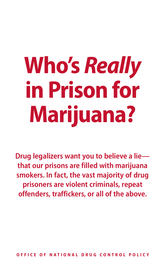# **Who's Really in Prison for Marijuana?**

**Drug legalizers want you to believe a lie that our prisons are filled with marijuana smokers. In fact, the vast majority of drug prisoners are violent criminals, repeat offenders, traffickers, or all of the above.**

**OFFICE OF NATIONAL DRUG CONTROL POLICY**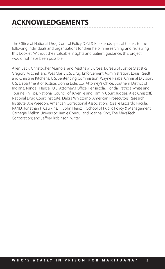## **ACKNOWLEDGEMENTS**

The Office of National Drug Control Policy (ONDCP) extends special thanks to the following individuals and organizations for their help in researching and reviewing this booklet. Without their valuable insights and patient guidance, this project would not have been possible:

Allen Beck, Christopher Mumola, and Matthew Durose, Bureau of Justice Statistics; Gregory Mitchell and Wes Clark, U.S. Drug Enforcement Administration; Louis Reedt and Christine Kitchens, U.S. Sentencing Commission; Wayne Raabe, Criminal Division, U.S. Department of Justice; Donna Eide, U.S. Attorney's Office, Southern District of Indiana; Randall Hensel, U.S. Attorney's Office, Pensacola, Florida; Patricia White and Tourine Phillips, National Council of Juvenile and Family Court Judges; Alec Christoff, National Drug Court Institute; Debra Whitcomb, American Prosecutors Research Institute; Joe Weedon, American Correctional Association; Rosalie Liccardo Pacula, RAND; Jonathan P. Caulkins, H. John Heinz III School of Public Policy & Management, Carnegie Mellon University; Jamie Chriqui and Joanna King, The MayaTech Corporation; and Jeffrey Robinson, writer.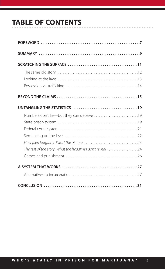## **TABLE OF CONTENTS**

| The rest of the story: What the headlines don't reveal 24 |  |
|-----------------------------------------------------------|--|
|                                                           |  |
|                                                           |  |
|                                                           |  |
|                                                           |  |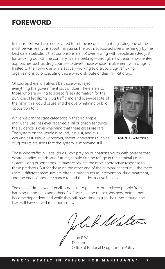

In this report, we have endeavored to set the record straight regarding one of the most pervasive myths about marijuana. The truth, supported overwhelmingly by the best data available, is that our prisons are not overflowing with people arrested just for smoking pot. On the contrary, we are seeking—through new treatment-oriented approaches such as drug courts—to divert those whose involvement with drugs is limited to their own use, while actively working to disrupt drug-trafficking organizations by prosecuting those who distribute or deal in illicit drugs.

Of course, there will always be those who reject everything the government says or does. There are also those who are willing to spread false information for the purpose of legalizing drug trafficking and use—despite all the harm this would cause and the overwhelming public opposition to it.

While we cannot state categorically that no simple marijuana user has ever received a jail or prison sentence, the evidence is overwhelming that these cases are rare. The system on the whole is sound, it is just, and it is working as it should. Moreover, recent innovations such as **JOHN P. WALTERS** drug courts are signs that the system is improving still.



Those who traffic in illegal drugs, who prey on our nation's youth with poisons that destroy bodies, minds, and futures, should find no refuge in the criminal justice system. Long prison terms, in many cases, are the most appropriate response to these predators. But for those on the other end of the criminal spectrum—the mere users—different measures are often in order, such as intervention, drug treatment, and the offer of another chance to end their destructive behavior.

The goal of drug laws, after all, is not just to penalize, but to keep people from harming themselves and others. So if we can stop these users now, before they become dependent and while they still have time to turn their lives around, the laws will have served their purpose well.

l. f. Walt

John P. Walters Director Office of National Drug Control Policy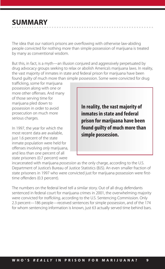

The idea that our nation's prisons are overflowing with otherwise law-abiding people convicted for nothing more than simple possession of marijuana is treated by many as conventional wisdom.

But this, in fact, is a myth—an illusion conjured and aggressively perpetuated by drug advocacy groups seeking to relax or abolish America's marijuana laws. In reality, the vast majority of inmates in state and federal prison for marijuana have been found guilty of much more than simple possession. Some were convicted for drug

trafficking, some for marijuana possession along with one or more other offenses. And many of those serving time for marijuana pled down to possession in order to avoid prosecution on much more serious charges.

In 1997, the year for which the most recent data are available, just 1.6 percent of the state inmate population were held for offenses involving only marijuana, and less than one percent of all state prisoners (0.7 percent) were

**simple possession. In reality, the vast majority of inmates in state and federal prison for marijuana have been found guilty of much more than**

incarcerated with marijuana possession as the only charge, according to the U.S. Department of Justice's Bureau of Justice Statistics (BJS). An even smaller fraction of state prisoners in 1997 who were convicted just for marijuana possession were firsttime offenders (0.3 percent).

The numbers on the federal level tell a similar story. Out of all drug defendants sentenced in federal court for marijuana crimes in 2001, the overwhelming majority were convicted for trafficking, according to the U.S. Sentencing Commission. Only 2.3 percent—186 people—received sentences for simple possession, and of the 174 for whom sentencing information is known, just 63 actually served time behind bars.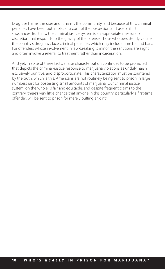Drug use harms the user and it harms the community, and because of this, criminal penalties have been put in place to control the possession and use of illicit substances. Built into the criminal justice system is an appropriate measure of discretion that responds to the gravity of the offense. Those who persistently violate the country's drug laws face criminal penalties, which may include time behind bars. For offenders whose involvement in law-breaking is minor, the sanctions are slight and often involve a referral to treatment rather than incarceration.

And yet, in spite of these facts, a false characterization continues to be promoted that depicts the criminal-justice response to marijuana violations as unduly harsh, exclusively punitive, and disproportionate. This characterization must be countered by the truth, which is this: Americans are not routinely being sent to prison in large numbers just for possessing small amounts of marijuana. Our criminal justice system, on the whole, is fair and equitable, and despite frequent claims to the contrary, there's very little chance that anyone in this country, particularly a first-time offender, will be sent to prison for merely puffing a "joint."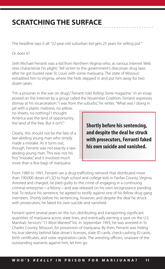## **SCRATCHING THE SURFACE**

The headline says it all: "22-year-old suburban kid gets 25 years for selling pot."

Or does it?

Seth Michael Ferranti was a kid from Northern Virginia who, as various Internet Web sites characterize his plight,<sup>2</sup> fell victim to the government's draconian drug laws after he got busted near St. Louis with some marijuana. The state of Missouri extradited him to Virginia, where the Feds stepped in and put him away for two dozen years.

"I'm a prisoner in the war on drugs," Ferranti told Rolling Stone magazine.<sup>3</sup> In an essay posted on the Internet by a group called the November Coalition, Ferranti expresses dismay at his incarceration: "I was from the suburbs," he writes. "What was I doing in

jail with a plastic mattress, no pillow, no sheets, no nothing? I thought America was the land of opportunity, the land of the free. But it isn't"<sup>4</sup>

Clearly, this should not be the fate of a law-abiding young man who simply made a mistake. As it turns out, though, Ferranti was not exactly a lawabiding young man. This was not his first "mistake," and it involved much more than a few bags of marijuana.

**Shortly before his sentencing, and despite the deal he struck with prosecutors, Ferranti faked his own suicide and vanished.**

From 1989 to 1991, Ferranti ran a drug-trafficking network that distributed more than 100,000 doses of LSD to high school and college kids in Fairfax County, Virginia. Arrested and charged, he pled guilty to the crime of engaging in a continuing criminal enterprise—a felony—and was released on his own recognizance pending trial. To reduce his sentence, he agreed to testify against one of his fellow drug gang members. Shortly before his sentencing, however, and despite the deal he struck with prosecutors, he faked his own suicide and vanished.

Ferranti spent several years on the run, distributing and transporting significant quantities of marijuana across state lines, and eventually earning a spot on the U.S. Marshals Service's "15 Most Wanted"list. In September 1993, he was arrested in St. Charles County, Missouri, for possession of marijuana. By then, Ferranti was hiding his true identity behind false driver's licenses, state ID cards, check-cashing ID cards, birth certificates, and voter registration cards. The arresting officers, unaware of the outstanding warrants against him, let him go.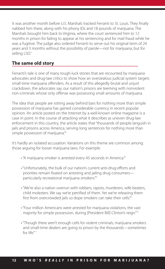It was another month before U.S. Marshals tracked Ferranti to St. Louis. They finally nabbed him there, along with his phony IDs and 18 pounds of marijuana. The Marshals brought him back to Virginia, where the court sentenced him to 12 months in prison for failing to appear at his sentencing and for mail fraud while he was a fugitive. The judge also ordered Ferranti to serve out his original term of 24 years and 3 months without the possibility of parole—not for marijuana, but for selling LSD.<sup>5</sup>

#### **The same old story**

Ferranti's tale is one of many tough-luck stories that are recounted by marijuana advocates and drug-law critics to show how an overzealous judicial system targets small-time marijuana offenders. As a result of this allegedly brutal and unjust crackdown, the advocates say, our nation's prisons are teeming with nonviolent non-criminals whose only offense was possessing small amounts of marijuana.

The idea that people are rotting away behind bars for nothing more than simple possession of marijuana has gained considerable currency in recent popular opinion. An article posted on the Internet by a well-known online magazine is a case in point. In the course of attacking what it describes as uneven drug-law enforcement in this country, the article states that "thousands of people languish in jails and prisons across America, serving long sentences for nothing more than simple possession of marijuana."6

It's hardly an isolated accusation. Variations on this theme are common among those arguing for looser marijuana laws. For example:

- "A marijuana smoker is arrested every 45 seconds in America."7
- "Unfortunately, the bulk of our nation's current anti-drug efforts and priorities remain fixated on arresting and jailing drug consumers particularly recreational marijuana smokers."8
- "We're also a nation overrun with robbers, rapists, murderers, wife beaters, child molesters. We say we're petrified of them. Yet we're releasing them first from overcrowded jails so dope smokers can take their cells."<sup>9</sup>
- "Four million Americans were arrested for marijuana violations, the vast majority for simple possession, during [President Bill] Clinton's reign."10
- "Though there aren't enough cells for violent criminals, marijuana smokers and small-time dealers are going to prison by the thousands—sometimes for  $l$ ife $n$ <sup>11</sup>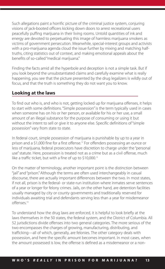Such allegations paint a horrific picture of the criminal justice system, conjuring visions of jack-booted officers kicking down doors to arrest recreational users peacefully puffing marijuana in their living rooms. Untold quantities of ink and energy are devoted to perpetuating this image of harmless marijuana smokers as victims of government persecution. Meanwhile, special-interest groups and activists with a pro-marijuana agenda cloud the issue further by mixing and matching halftruths, citing statistics out of context, and making emotional appeals about the benefits of so-called "medical marijuana."

Finding the facts amid all the hyperbole and deception is not a simple task. But if you look beyond the unsubstantiated claims and carefully examine what is really happening, you see that the picture presented by the drug legalizers is wildly out of focus, and that the truth is something they do not want you to know.

#### **Looking at the laws**

To find out who is, and who is not, getting locked up for marijuana offenses, it helps to start with some definitions. "Simple possession"is the term typically used in cases when someone has on his or her person, or available for his or her use, a small amount of an illegal substance for the purpose of consuming or using it but without the intent to sell or give it to anyone else. Specific definitions of "simple possession" vary from state to state.

In federal court, simple possession of marijuana is punishable by up to a year in prison and a \$1,000 fine for a first offense.<sup>12</sup> For offenders possessing an ounce or less of marijuana, federal prosecutors have discretion to charge under the "personal use" statute. Here, possession is treated not as a crime but as a civil offense, much like a traffic ticket, but with a fine of up to \$10,000.<sup>13</sup>

On the matter of terminology, another important point is the distinction between "jail" and "prison."Although the terms are often used interchangeably in casual discourse, there are actually important differences between the two. In most states, if not all, prison is the federal- or state-run institution where inmates serve sentences of a year or longer for felony crimes. Jails, on the other hand, are detention facilities usually managed by city or county governments and traditionally reserved for individuals awaiting trial and defendants serving less than a year for misdemeanor offenses.14

To understand how the drug laws are enforced, it is helpful to look briefly at the laws themselves in the 50 states, the federal system, and the District of Columbia. All 52 jurisdictions divide offenses into two general categories. The more serious of the two encompasses the charges of growing, manufacturing, distributing, and trafficking—all of which, generally, are felonies. The other category deals with possession, and here the specific amount becomes important. In most cases, when the amount possessed is low, the offense is defined as a misdemeanor or a non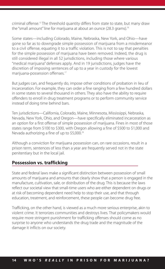criminal offense.15 The threshold quantity differs from state to state, but many draw the "small amount" line for marijuana at about an ounce (28.3 grams).<sup>16</sup>

Some states—including Colorado, Maine, Nebraska, New York, and Ohio—have gone so far as to downgrade simple possession of marijuana from a misdemeanor to a civil offense, equating it to a traffic violation. This is not to say that penalties for the simple possession of marijuana have been removed. Indeed, the drug is still considered illegal in all 52 jurisdictions, including those where various "medical marijuana" defenses apply. And in 19 jurisdictions, judges have the discretion of imposing sentences of up to a year in custody for the lowest marijuana-possession offenses.<sup>17</sup>

But judges can, and frequently do, impose other conditions of probation in lieu of incarceration. For example, they can order a fine ranging from a few hundred dollars in some states to several thousand in others. They also have the ability to require offenders to enroll in drug treatment programs or to perform community service instead of doing time behind bars.

Ten jurisdictions—California, Colorado, Maine, Minnesota, Mississippi, Nebraska, Nevada, New York, Ohio, and Oregon—have specifically eliminated incarceration as an option for a first offense of simple possession of marijuana. Fines in most of those states range from \$100 to \$300, with Oregon allowing a fine of \$500 to \$1,000 and Nevada authorizing a fine of up to \$5,000.<sup>18</sup>

Although a conviction for marijuana possession can, on rare occasions, result in a prison term, sentences of less than a year are frequently served not in the state penitentiary but in the local jail.

#### **Possession vs. trafficking**

State and federal laws make a significant distinction between possession of small amounts of marijuana and amounts that clearly show that a person is engaged in the manufacture, cultivation, sale, or distribution of the drug. This is because the laws reflect our societal view that small-time users who are either dependent on drugs or at risk of becoming dependent need help to stop their use, and that through education, treatment, and reinforcement, these people can become drug free.

Trafficking, on the other hand, is viewed as a much more serious enterprise, akin to violent crime. It terrorizes communities and destroys lives. That policymakers would require more stringent punishment for trafficking offenses should come as no surprise to anyone who understands the drug trade and the magnitude of the damage it inflicts on our society.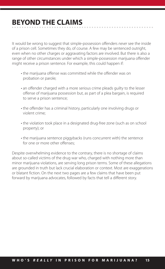## **BEYOND THE CLAIMS**

It would be wrong to suggest that simple-possession offenders never see the inside of a prison cell. Sometimes they do, of course. A few may be sentenced outright, even when no other charges or aggravating factors are involved. But there is also a range of other circumstances under which a simple-possession marijuana offender might receive a prison sentence. For example, this could happen if:

- the marijuana offense was committed while the offender was on probation or parole;
- an offender charged with a more serious crime pleads guilty to the lesser offense of marijuana possession but, as part of a plea bargain, is required to serve a prison sentence;
- the offender has a criminal history, particularly one involving drugs or violent crime;
- the violation took place in a designated drug-free zone (such as on school property); or
- the marijuana sentence piggybacks (runs concurrent with) the sentence for one or more other offenses;

Despite overwhelming evidence to the contrary, there is no shortage of claims about so-called victims of the drug war who, charged with nothing more than minor marijuana violations, are serving long prison terms. Some of these allegations are grounded in truth but lack crucial elaboration or context. Most are exaggerations or blatant fiction. On the next two pages are a few claims that have been put forward by marijuana advocates, followed by facts that tell a different story.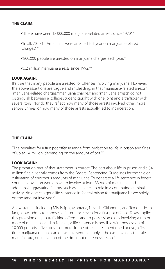#### **THE CLAIM:**

• "There have been 13,000,000 marijuana-related arrests since 1970."<sup>19</sup>

•"In all, 704,812 Americans were arrested last year on marijuana-related charges."20

•"800,000 people are arrested on marijuana charges each year."21

•"5.2 million marijuana arrests since 1992."22

#### **LOOK AGAIN:**

It's true that many people are arrested for offenses involving marijuana. However, the above assertions are vague and misleading, in that "marijuana-related arrests," "marijuana-related charges,""marijuana charges," and "marijuana arrests" do not distinguish between a college student caught with one joint and a trafficker with several tons. Nor do they reflect how many of those arrests involved other, more serious crimes, or how many of those arrests actually led to incarceration.

#### **THE CLAIM:**

"The penalties for a first pot offense range from probation to life in prison and fines of up to \$4 million, depending on the amount of pot." <sup>23</sup>

#### **LOOK AGAIN:**

The probation part of that statement is correct. The part about life in prison and a \$4 million fine evidently comes from the Federal Sentencing Guidelines for the sale or cultivation of enormous amounts of marijuana. To generate a life sentence in federal court, a conviction would have to involve at least 33 tons of marijuana and additional aggravating factors, such as a leadership role in a continuing criminal activity. No one can get a life sentence in federal prison for marijuana based solely on the amount involved.<sup>24</sup>

A few states—including Mississippi, Montana, Nevada, Oklahoma, and Texas—do, in fact, allow judges to impose a life sentence even for a first pot offense. Texas applies this provision only to trafficking offenses and to possession cases involving a ton or more of marijuana, and in Nevada, a life sentence is possible with possession of 10,000 pounds—five tons—or more. In the other states mentioned above, a firsttime marijuana offense can draw a life sentence only if the case involves the sale, manufacture, or cultivation of the drug, not mere possession.<sup>25</sup>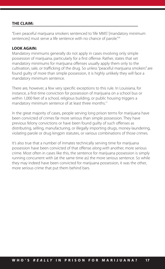#### **THE CLAIM:**

"Even peaceful marijuana smokers sentenced to 'life MMS' [mandatory minimum sentences] must serve a life sentence with no chance of parole."<sup>26</sup>

#### **LOOK AGAIN:**

Mandatory minimums generally do not apply in cases involving only simple possession of marijuana, particularly for a first offense. Rather, states that set mandatory minimums for marijuana offenses usually apply them only to the cultivation, sale, or trafficking of the drug. So unless "peaceful marijuana smokers" are found guilty of more than simple possession, it is highly unlikely they will face a mandatory minimum sentence.

There are, however, a few very specific exceptions to this rule. In Louisiana, for instance, a first-time conviction for possession of marijuana on a school bus or within 1,000 feet of a school, religious building, or public housing triggers a mandatory minimum sentence of at least three months.<sup>27</sup>

In the great majority of cases, people serving long prison terms for marijuana have been convicted of crimes far more serious than simple possession. They have previous felony convictions or have been found guilty of such offenses as distributing, selling, manufacturing, or illegally importing drugs, money-laundering, violating parole or drug kingpin statutes, or various combinations of those crimes.

It's also true that a number of inmates technically serving time for marijuana possession have been convicted of that offense along with another, more serious crime. Most often in cases like this, the sentence for marijuana possession is simply running concurrent with (at the same time as) the more serious sentence. So while they may indeed have been convicted for marijuana possession, it was the other, more serious crime that put them behind bars.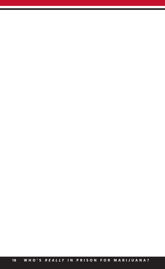#### **W H O ' S R E A L LY I N PRISON FOR MARIJUANA?**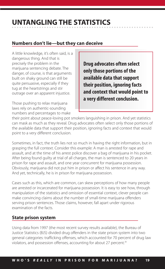## **UNTANGLING THE STATISTICS**

#### **Numbers don't lie—but they can deceive**

A little knowledge, it's often said, is a dangerous thing. And that is precisely the problem in the marijuana sentencing debate. The danger, of course, is that arguments built on shaky ground can still be quite persuasive, especially if they tug at the heartstrings and stir outrage over an apparent injustice.

Those pushing to relax marijuana laws rely on authentic-sounding numbers and percentages to make

**Drug advocates often select only those portions of the available data that support their position, ignoring facts and context that would point to a very different conclusion.**

their point about peace-loving pot smokers languishing in prison. And yet statistics can mask as much as they reveal. Drug advocates often select only those portions of the available data that support their position, ignoring facts and context that would point to a very different conclusion.

Sometimes, in fact, the truth lies not so much in having the right information, but in grasping the full context. Consider this example: A man is arrested for rape and assault, and at the time of his arrest police discover a bag of marijuana in his pocket. After being found guilty at trial of all charges, the man is sentenced to 20 years in prison for rape and assault, and one year concurrent for marijuana possession. Obviously, marijuana did not put him in prison or affect his sentence in any way. And yet, technically, he is in prison for marijuana possession.

Cases such as this, which are common, can skew perceptions of how many people are arrested or incarcerated for marijuana possession. It is easy to see how, through manipulation of the statistics and omission of essential context, clever people can make convincing claims about the number of small-time marijuana offenders serving prison sentences. Those claims, however, fall apart under rigorous examination of the facts.

#### **State prison system**

Using data from 1997 (the most recent survey results available), the Bureau of Justice Statistics (BJS) divided drug offenders in the state prison system into two general categories: trafficking offenses, which accounted for 70 percent of drug law violators, and possession offenses, accounting for about 27 percent.<sup>28</sup>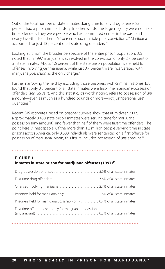Out of the total number of state inmates doing time for any drug offense, 83 percent had a prior criminal history. In other words, the large majority were not firsttime offenders. They were people who had committed crimes in the past, and nearly two-thirds of them (62 percent) had multiple prior convictions.<sup>29</sup> Marijuana accounted for just 13 percent of all state drug offenders.<sup>30</sup>

Looking at it from the broader perspective of the entire prison population, BJS noted that in 1997 marijuana was involved in the conviction of only 2.7 percent of all state inmates. About 1.6 percent of the state prison population were held for offenses involving just marijuana, while just 0.7 percent were incarcerated with marijuana possession as the only charge.<sup>31</sup>

Further narrowing the field by excluding those prisoners with criminal histories, BJS found that only 0.3 percent of all state inmates were first-time marijuana-possession offenders (see Figure 1). And this statistic, it's worth noting, refers to possession of any amount—even as much as a hundred pounds or more—not just "personal use" quantities.<sup>32</sup>

Recent BJS estimates based on prisoner surveys show that at midyear 2002, approximately 8,400 state prison inmates were serving time for marijuana possession (any amount), and fewer than half of them were first-time offenders. The point here is inescapable: Of the more than 1.2 million people serving time in state prisons across America, only 3,600 individuals were sentenced on a first offense for possession of marijuana. Again, this figure includes possession of *any* amount.<sup>33</sup>

#### **FIGURE 1** Inmates in state prison for marijuana offenses (1997)<sup>34</sup>

| Prisoners held for marijuana only 1.6% of all state inmates |  |
|-------------------------------------------------------------|--|
|                                                             |  |
| First-time offenders held only for marijuana possession     |  |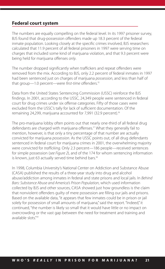#### **Federal court system**

The numbers are equally compelling on the federal level. In its 1997 prisoner survey, BJS found that drug-possession offenders made up 18.3 percent of the federal inmate population. Looking closely at the specific crimes involved, BJS researchers calculated that 11.9 percent of all federal prisoners in 1997 were serving time on charges that included some kind of marijuana violation, and that 9.3 percent were being held for marijuana offenses only.

The number dropped significantly when traffickers and repeat offenders were removed from the mix. According to BJS, only 2.2 percent of federal inmates in 1997 had been sentenced just on charges of marijuana possession, and less than half of that group—1.0 percent—were first-time offenders.<sup>35</sup>

Data from the United States Sentencing Commission (USSC) reinforce the BJS findings. In 2001, according to the USSC, 24,349 people were sentenced in federal court for drug crimes under six offense categories. Fifty of those cases were excluded from the USSC's tally for lack of sufficient documentation. Of the remaining 24,299, marijuana accounted for 7,991 (32.9 percent).<sup>36</sup>

The pro-marijuana lobby often points out that nearly one-third of all federal drug defendants are charged with marijuana offenses.<sup>37</sup> What they generally fail to mention, however, is that only a tiny percentage of that number are actually convicted for marijuana possession. As the USSC points out, of all drug defendants sentenced in federal court for marijuana crimes in 2001, the overwhelming majority were convicted for trafficking. Only 2.3 percent—186 people—received sentences for simple possession (see Figure 2), and of the 174 for whom sentencing information is known, just 63 actually served time behind bars.<sup>38</sup>

In 1998, Columbia University's National Center on Addiction and Substance Abuse (CASA) published the results of a three-year study into drug and alcohol abuse/addiction among inmates in federal and state prisons and local jails. In Behind Bars: Substance Abuse and America's Prison Population, which used information collected by BJS and other sources, CASA showed just how groundless is the claim that nonviolent offenders guilty of mere possession are filling our jails and prisons. Based on the available data, "it appears that few inmates could be in prison or jail solely for possession of small amounts of marijuana," said the report. "Indeed," it continued, "the number is likely so small that it would have little or no impact on overcrowding or the vast gap between the need for treatment and training and available slots<sup>"39</sup>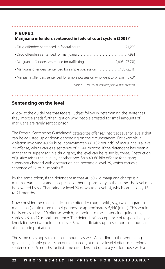#### **FIGURE 2** Marijuana offenders sentenced in federal court system (2001)<sup>40</sup>

| • Marijuana offenders sentenced for simple possession 186 (2.3%)                      |
|---------------------------------------------------------------------------------------|
| • Marijuana offenders sentenced for simple possession who went to prison $\dots$ .63* |
| * of the 174 for whom sentencing information is known                                 |

**Sentencing on the level**

A look at the guidelines that federal judges follow in determining the sentences they impose sheds further light on why people arrested for small amounts of marijuana are rarely sent to prison.

The Federal Sentencing Guidelines<sup>41</sup> categorize offenses into "set severity levels" that can be adjusted up or down depending on the circumstances. For example, a violation involving 40-60 kilos (approximately 88-132 pounds) of marijuana is a level 20 offense, which carries a sentence of 33-41 months. If the defendant has been a manager or supervisor in a drug gang, the level can be raised by three. Obstruction of justice raises the level by another two. So a 40-60 kilo offense for a gang supervisor charged with obstruction can become a level 25, which carries a sentence of 57 to 71 months  $42$ 

By the same token, if the defendant in that 40-60 kilo marijuana charge is a minimal participant and accepts his or her responsibility in the crime, the level may be lowered by six. That brings a level 20 down to a level 14, which carries only 15 to 21 months.

Now consider the case of a first-time offender caught with, say, two kilograms of marijuana (a little more than 4 pounds, or approximately 5,440 joints). This would be listed as a level 10 offense, which, according to the sentencing guidelines, carries a 6- to 12-month sentence. The defendant's acceptance of responsibility can knock it down two points to a level 8, which dictates up to six months—but can also include probation.

The same rules apply to smaller amounts as well. According to the sentencing guidelines, simple possession of marijuana is, at most, a level 4 offense, carrying a sentence of 0-6 months for first-time offenders and up to a year for those with a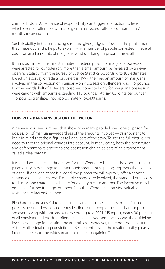criminal history. Acceptance of responsibility can trigger a reduction to level 2, which even for offenders with a long criminal record calls for no more than 7 months' incarceration<sup>43</sup>

Such flexibility in the sentencing structure gives judges latitude in the punishment they mete out, and it helps to explain why a number of people convicted in federal court for small amounts of marijuana wind up doing no prison time at all.

It turns out, in fact, that most inmates in federal prison for marijuana possession were arrested for considerably more than a small amount, as revealed by an eyeopening statistic from the Bureau of Justice Statistics. According to BJS estimates based on a survey of federal prisoners in 1997, the median amount of marijuana involved in the conviction of marijuana-only possession offenders was 115 pounds. In other words, half of all federal prisoners convicted only for marijuana possession were caught with amounts exceeding 115 pounds.<sup>44</sup> At, say, 85 joints per ounce,<sup>45</sup> 115 pounds translates into approximately 156,400 joints.

### **HOW PLEA BARGAINS DISTORT THE PICTURE**

Whenever you see numbers that show how many people have gone to prison for possession of marijuana—regardless of the amounts involved—it's important to keep in mind that these figures tell only part of the story. To see the full picture, you need to take the original charges into account. In many cases, both the prosecutor and defendant have agreed to the possession charge as part of an arrangement called a plea bargain.

It is standard practice in drug cases for the offender to be given the opportunity to plead guilty in exchange for lighter punishment, thus sparing taxpayers the expense of a trial. If only one crime is alleged, the prosecutor will typically offer a shorter sentence or a lesser charge. If multiple charges are involved, the standard practice is to dismiss one charge in exchange for a guilty plea to another. The incentive may be enhanced further if the government feels the offender can provide valuable assistance to law enforcement.

Plea bargains are a useful tool, but they can distort the statistics on marijuanapossession offenders, consequently leading some people to claim that our prisons are overflowing with pot smokers. According to a 2001 BJS report, nearly 30 percent of all convicted federal drug offenders have received sentences below the guideline level in exchange for assisting the authorities.<sup>65</sup> Moreover, the report points out that virtually all federal drug convictions—95 percent—were the result of guilty pleas, a fact that speaks to the widespread use of plea bargaining.<sup>66</sup>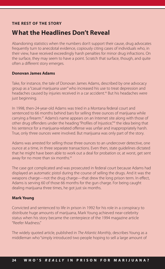#### **THE REST OF THE STORY**

### **What the Headlines Don't Reveal**

Abandoning statistics when the numbers don't support their cause, drug advocates frequently turn to anecdotal evidence, copiously citing cases of individuals who, in their view, have received exceedingly harsh penalties for minor drug infractions. On the surface, they may seem to have a point. Scratch that surface, though, and quite often a different story emerges.

#### **Donovan James Adams**

headaches caused by injuries received in a car accident.<sup>46</sup> But his headaches were Take, for instance, the tale of Donovan James Adams, described by one advocacy group as a "casual marijuana user"who increased his use to treat depression and just beginning.

In 1998, then-24-year-old Adams was tried in a Montana federal court and carrying a firearm.<sup>47</sup> Adams's name appears on an Internet site along with those of other drug offenders under the heading "Profiles of Injustice,"<sup>48</sup> the idea being that sentenced to 66 months behind bars for selling three ounces of marijuana while his sentence for a marijuana-related offense was unfair and inappropriately harsh. True, only three ounces were involved. But marijuana was only part of the story.

away for no more than six months.<sup>49</sup> Adams was arrested for selling those three ounces to an undercover detective, one ounce at a time, in three separate transactions. Even then, state guidelines dictated that he might have been able to work out a deal for probation or, at worst, get sent

The case got complicated and was prosecuted in federal court because Adams had displayed an automatic pistol during the course of selling the drugs. And it was the weapons charge—not the drug charge—that drew the long prison term. In effect, Adams is serving 60 of those 66 months for the gun charge. For being caught dealing marijuana three times, he got just six months.

#### **Mark Young**

Convicted and sentenced to life in prison in 1992 for his role in a conspiracy to distribute huge amounts of marijuana, Mark Young achieved near-celebrity status when his story became the centerpiece of the 1994 magazine article "Reefer Madness."

The widely quoted article, published in The Atlantic Monthly, describes Young as a middleman who "simply introduced two people hoping to sell a large amount of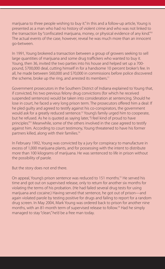marijuana to three people wishing to buy it." In this and a follow-up article, Young is the transaction by "confiscated marijuana, money, or physical evidence of any kind."<sup>50</sup> presented as a man who had no history of violent crime and who was not linked to The actual events of the case, however, reveal he was much more than an innocent go-between.

I n 1991, Young brokered a transaction between a group of growers seeking to sell the scheme, broke up the ring, and arrested its members.<sup>51</sup> large quantities of marijuana and some drug traffickers who wanted to buy it. Young, then 36, invited the two parties into his house and helped set up a 700 pound, \$700,000 deal, cutting himself in for a handsome 10 percent broker's fee. In all, he made between \$60,000 and \$70,000 in commissions before police discovered

would ask for a greatly reduced sentence.<sup>52</sup> Young's family urged him to cooperate, principles."<sup>53</sup> Meanwhile, some of the others involved in the case agreed to testify partners killed, along with their families.<sup>54</sup> Government prosecutors in the Southern District of Indiana explained to Young that, if convicted, his two previous felony drug convictions (for which he received suspended sentences) would be taken into consideration at sentencing. Should he lose in court, he faced a very long prison term. The prosecutors offered him a deal: If he pled quilty and agreed to testify against his co-conspirators, the government but he refused. As he is quoted as saying later, "I feel kind of proud to have against him. According to court testimony, Young threatened to have his former

I n February 1992, Young was convicted by a jury for conspiracy to manufacture in excess of 1,000 marijuana plants, and for possessing with the intent to distribute more than 100 kilograms of marijuana. He was sentenced to life in prison without the possibility of parole.

But the story does not end there.

On appeal, Young's prison sentence was reduced to 151 months.<sup>55</sup> He served his months, with an 81-month term of supervised release to follow.<sup>56</sup> Had he simply time and got out on supervised release, only to return for another six months for violating the terms of his probation. (He had failed several drug tests for using marijuana and cocaine.) Having served that sentence, he got out of prison—and again violated parole by testing positive for drugs and failing to report for a random drug screen. In May 2004, Mark Young was ordered back to prison for another nine managed to stay "clean," he'd be a free man today.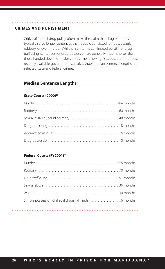#### **CRIMES AND PUNISHMENT**

Critics of federal drug policy often make the claim that drug offenders typically serve longer sentences than people convicted for rape, assault, robbery, or even murder. While prison terms can indeed be stiff for drug trafficking, sentences for drug possession are generally much shorter than those handed down for major crimes. The following lists, based on the most recently available government statistics, show median sentence lengths for selected state and federal crimes.

#### **Median Sentence Lengths**

#### State Courts (2000)<sup>57</sup>

#### **Federal Courts (FY2001)58**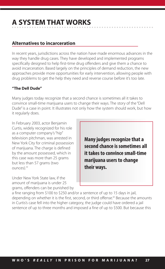## **A SYSTEM THAT WORKS**

#### **Alternatives to incarceration**

In recent years, jurisdictions across the nation have made enormous advances in the way they handle drug cases. They have developed and implemented programs specifically designed to help first-time drug offenders and give them a chance to avoid incarceration. Based largely on the principles of demand reduction, the new approaches provide more opportunities for early intervention, allowing people with drug problems to get the help they need and reverse course before it's too late.

#### **"The Dell Dude"**

Many judges today recognize that a second chance is sometimes all it takes to convince small-time marijuana users to change their ways. The story of the "Dell Dude"is a case in point. It illustrates not only how the system should work, but how it regularly does.

In February 2003, actor Benjamin Curtis, widely recognized for his role as a computer company's "hip" television pitchman, was arrested in New York City for criminal possession of marijuana. The charge is defined by the amount possessed, which in this case was more than 25 grams but less than 57 grams (two ounces).59

Under New York State law, if the amount of marijuana is under 25 grams, offenders can be punished by **second chance is sometimes all Many judges recognize that a it takes to convince small-time marijuana users to change their ways.**

a fine ranging from \$100 to \$250 and/or a sentence of up to 15 days in jail, depending on whether it is the first, second, or third offense.<sup>60</sup> Because the amounts in Curtis's case fell into the higher category, the judge could have ordered a jail sentence of up to three months and imposed a fine of up to \$500. But because this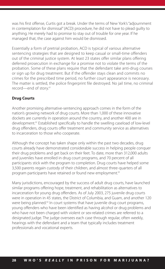was his first offense, Curtis got a break. Under the terms of New York's "adjournment in contemplation for dismissal"(ACD) procedure, he did not have to plead guilty to anything. He merely had to promise to stay out of trouble for one year. If he managed that, the case against him would be dismissed.

Essentially a form of pretrial probation, ACD is typical of various alternative sentencing strategies that are designed to keep casual or small-time offenders out of the criminal justice system. At least 23 states offer similar plans offering deferred prosecution in exchange for a promise not to violate the terms of the probation. Some of these plans require that the defendant take anti-drug courses or sign up for drug treatment. But if the offender stays clean and commits no crimes for the prescribed time period, no further court appearance is necessary. The matter is settled, the police fingerprint file destroyed. No jail time, no criminal record—end of story.<sup>61</sup>

#### **Drug Courts**

Another promising alternative-sentencing approach comes in the form of the nation's growing network of drug courts. More than 1,000 of these innovative dockets are currently in operation around the country, and another 400 are in development.<sup>62</sup> Established specifically to handle the swelling caseload of low-level drug offenders, drug courts offer treatment and community service as alternatives to incarceration to those who cooperate.

Although the concept has taken shape only within the past two decades, drug courts already have demonstrated considerable success in helping people conquer their drug problems and get back on their feet. To date, more than 312,000 adults and juveniles have enrolled in drug court programs, and 70 percent of all participants stick with the program to completion. Drug courts have helped some 3,500 parents regain custody of their children, and almost three-quarters of all program participants have retained or found new employment.<sup>63</sup>

Many jurisdictions, encouraged by the success of adult drug courts, have launched similar programs offering hope, treatment, and rehabilitation as alternatives to incarceration for young drug offenders. As of July 2003, 275 juvenile drug courts were in operation in 45 states, the District of Columbia, and Guam, and another 120 were being planned.<sup>64</sup> In court systems that have juvenile drug court programs, young offenders who have been identified as having alcohol or drug problems and who have not been charged with violent or sex-related crimes are referred to a designated judge. The judge oversees each case through regular, often weekly, hearings with the defendant and a team that typically includes treatment professionals and vocational experts.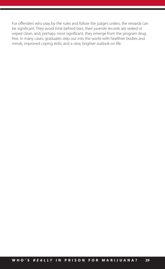For offenders who play by the rules and follow the judge's orders, the rewards can be significant: They avoid time behind bars, their juvenile records are sealed or wiped clean, and, perhaps most significant, they emerge from the program drug free. In many cases, graduates step out into the world with healthier bodies and minds, improved coping skills, and a new, brighter outlook on life.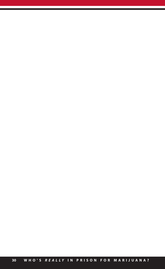#### **W H O ' S R E A L LY I N PRISON FOR MARIJUANA?**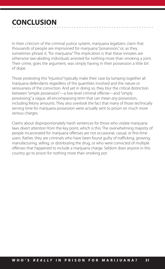In their criticism of the criminal justice system, marijuana legalizers claim that thousands of people are imprisoned for marijuana "possession," or, as they sometimes phrase it, "for marijuana." The implication is that these inmates are otherwise lawabiding individuals arrested for nothing more than smoking a joint. Their crime, goes the argument, was simply having in their possession a little bit of dope.

Those protesting this "injustice" typically make their case by lumping together all marijuana defendants regardless of the quantities involved and the nature or seriousness of the conviction. And yet in doing so, they blur the critical distinction between "simple possession"-a low-level criminal offense-and "simply possessing," a vague, all-encompassing term that can mean *any* possession, including felony amounts. They also overlook the fact that many of those technically serving time for marijuana possession were actually sent to prison on much more serious charges.

Claims about disproportionately harsh sentences for those who violate marijuana laws divert attention from the key point, which is this: The overwhelming majority of people incarcerated for marijuana offenses are not occasional, casual, or first-time users. Rather, they are criminals who have been found guilty of trafficking, growing, manufacturing, selling, or distributing the drug, or who were convicted of multiple offenses that happened to include a marijuana charge. Seldom does anyone in this country go to prison for nothing more than smoking pot.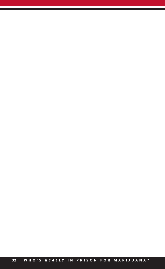#### **W H O ' S R E A L LY I N PRISON FOR MARIJUANA?**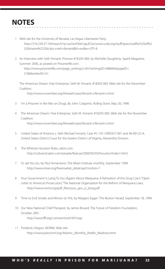

- 1 Web site for the University of Nevada, Las Vegas, Libertarian Party. http://216.239.37.104/search?q=cache:KSb61ppJE2wJ:www.unlp.org/stuff/grass/wall%2520of%2 520shame%2520iii.doc+seth+ferranti&hl=en&ie=UTF8
- 2 An Interview with Seth Ferranti: Prisoner #18205-083, by Michelle Daugherty. Spank Magazine, Summer 2000, as posted on Prisonerlife.com.

http://www.prisonerlife.com/page\_writings2.cfm?writingsID=68&WebpageID= 21&MemberID=51

The American Dream: Free Enterprise, Seth M. Ferranti, #18205-083. Web site for the November Coalition.

http://www.november.org/thewall/cases/ferranti-s/ferranti-s.html

- 3 I'm a Prisoner in the War on Drugs, By John Colapinto. Rolling Stone, May 28, 1998.
- 4 The American Dream: Free Enterprise, Seth M. Ferranti, #18205-083. Web site for the November Coalition.

http://www.november.org/thewall/cases/ferranti-s/ferranti-s.html

- 5 United States of America v. Seth Michael Ferranti, Case #'s 1:91-CR00337-001 and 94-00122-A, United States District Court for the Eastern District of Virginia, Alexandria Division.
- 6 The Whitney Houston Rules, salon.com. http://cobrand.salon.com/people/feature/2000/05/03/houston/index1.html
- 7 To Jail You Go, by Paul Armentano. The Mises Institute monthly, September 1999. http://www.mises.org/freemarket\_detail.asp?control=7
- 8 Your Government Is Lying To You (Again) About Marijuana: A Refutation of the Drug Czar's "Open Letter to America's Prosecutors."The National Organization for the Reform of Marijuana Laws. http://www.norml.org/pdf\_files/your\_gov\_is\_lying.pdf
- 9 Time to End Smoke and Mirrors on Pot, by Margery Eagan. The Boston Herald, September 18, 1994.
- 10 Our New National Chief Therapist, by James Bovard. The Future of Freedom Foundation, October 2001. http://www.fff.org/comment/ed1001f.asp
- 11 Portland, Oregon, NORML Web site: http://www.pdxnorml.org/Atlantic\_Monthly\_Reefer\_Madness.html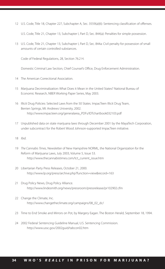12 U.S. Code, Title 18, Chapter 227, Subchapter A, Sec. 3559(a)(6): Sentencing classification of offenses.

U.S. Code, Title 21, Chapter 13, Subchapter I, Part D, Sec. 844(a): Penalties for simple possession.

13 U.S. Code, Title 21, Chapter 13, Subchapter I, Part D, Sec. 844a: Civil penalty for possession of small amounts of certain controlled substances.

Code of Federal Regulations, 28, Section 76.2 H.

Domestic Criminal Law Section, Chief Counsel's Office, Drug Enforcement Administration.

- 14 The American Correctional Association.
- 15 Marijuana Decriminalization: What Does it Mean in the United States? National Bureau of Economic Research, NBER Working Paper Series, May 2003.
- 16 Illicit Drug Policies: Selected Laws from the 50 States. ImpacTeen Illicit Drug Team, Berrien Springs, MI: Andrews University, 2002. http://www.impacteen.org/generalarea\_PDFs/IDTchartbook032103.pdf
- 17 Unpublished data on state marijuana laws through December 2001 by the MayaTech Corporation, under subcontract for the Robert Wood Johnson-supported ImpacTeen initiative.
- 18 Ibid.
- 19 The Cannabis Times, Newsletter of New Hampshire NORML, the National Organization for the Reform of Marijuana Laws, July 2003, Volume 5, Issue 53. http://www.thecannabistimes.com/tct\_current\_issue.htm
- 20 Libertarian Party Press Releases, October 21, 2000. http://www.lp.org/press/archive.php?function=view&record=163
- 21 Drug Policy News, Drug Policy Alliance. http://www.lindesmith.org/news/pressroom/pressrelease/pr102902.cfm
- 22 Change the Climate, Inc. http://www.changetheclimate.org/campaigns/08\_02\_dc/
- 23 Time to End Smoke and Mirrors on Pot, by Margery Eagan. The Boston Herald, September 18, 1994.
- 24 2002 Federal Sentencing Guideline Manual, U.S. Sentencing Commission. http://www.ussc.gov/2002guid/tabcon02.htm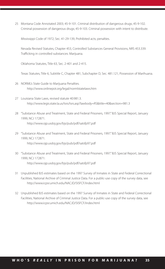25 Montana Code Annotated 2003; 45-9-101. Criminal distribution of dangerous drugs; 45-9-102. Criminal possession of dangerous drugs; 45-9-103. Criminal possession with intent to distribute.

Mississippi Code of 1972; Sec. 41-29-139, Prohibited acts; penalties.

Nevada Revised Statutes, Chapter 453, Controlled Substances General Provisions, NRS 453.339. Trafficking in controlled substances: Marijuana.

Oklahoma Statutes, Title 63, Sec. 2-401 and 2-415.

Texas Statutes, Title 6, Subtitle C, Chapter 481, Subchapter D, Sec. 481.121, Possession of Marihuana.

- 26 NORML's State Guide to Marijuana Penalties. http://www.onlinepot.org/legal/normlstatelaws.htm
- 27 Louisiana State Laws, revised statute 40:981.3. http://www.legis.state.la.us/tsrs/tsrs.asp?lawbody=RS&title=40&section=981.3
- 28 "Substance Abuse and Treatment, State and Federal Prisoners, 1997." BJS Special Report, January 1999, NCJ 172871. http://www.ojp.usdoj.gov/bjs/pub/pdf/satsfp97.pdf
- 29 "Substance Abuse and Treatment, State and Federal Prisoners, 1997." BJS Special Report, January 1999, NCJ 172871. http://www.ojp.usdoj.gov/bjs/pub/pdf/satsfp97.pdf
- 30 "Substance Abuse and Treatment, State and Federal Prisoners, 1997." BJS Special Report, January 1999, NCJ 172871: http://www.ojp.usdoj.gov/bjs/pub/pdf/satsfp97.pdf
- 31 Unpublished BJS estimates based on the 1997 Survey of Inmates in State and Federal Correctional Facilities, National Archive of Criminal Justice Data. For a public-use copy of the survey data, see http://www.icpsr.umich.edu/NACJD/SISFCF/index.html
- 32 Unpublished BJS estimates based on the 1997 Survey of Inmates in State and Federal Correctional Facilities, National Archive of Criminal Justice Data. For a public-use copy of the survey data, see http://www.icpsr.umich.edu/NACJD/SISFCF/index.html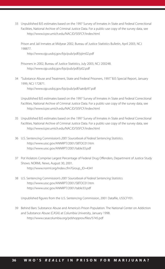33 Unpublished BJS estimates based on the 1997 Survey of Inmates in State and Federal Correctional Facilities, National Archive of Criminal Justice Data. For a public-use copy of the survey data, see http://www.icpsr.umich.edu/NACJD/SISFCF/index.html

Prison and Jail Inmates at Midyear 2002, Bureau of Justice Statistics Bulletin, April 2003, NCJ 198877.

http://www.ojp.usdoj.gov/bjs/pub/pdf/pjim02.pdf

Prisoners in 2002, Bureau of Justice Statistics, July 2003, NCJ 200248. http://www.ojp.usdoj.gov/bjs/pub/pdf/p02.pdf

34 "Substance Abuse and Treatment, State and Federal Prisoners, 1997." BJS Special Report, January 1999, NCJ 172871.

http://www.ojp.usdoj.gov/bjs/pub/pdf/satsfp97.pdf

Unpublished BJS estimates based on the 1997 Survey of Inmates in State and Federal Correctional Facilities, National Archive of Criminal Justice Data. For a public-use copy of the survey data, see http://www.icpsr.umich.edu/NACJD/SISFCF/index.html

- 35 Unpublished BJS estimates based on the 1997 Survey of Inmates in State and Federal Correctional Facilities, National Archive of Criminal Justice Data. For a public-use copy of the survey data, see http://www.icpsr.umich.edu/NACJD/SISFCF/index.html
- 36 U.S. Sentencing Commission's 2001 Sourcebook of Federal Sentencing Statistics. http://www.ussc.gov/ANNRPT/2001/SBTOC01.htm http://www.ussc.gov/ANNRPT/2001/table33.pdf
- 37 Pot Violators Comprise Largest Percentage of Federal Drug Offenders, Department of Justice Study Shows. NORML News, August 30, 2001. http://www.norml.org/index.cfm?Group\_ID=4341
- 38 U.S. Sentencing Commission's 2001 Sourcebook of Federal Sentencing Statistics. http://www.ussc.gov/ANNRPT/2001/SBTOC01.htm http://www.ussc.gov/ANNRPT/2001/table33.pdf

Unpublished figures from the U.S. Sentencing Commission, 2001 Datafile, USSCFY01.

39 Behind Bars: Substance Abuse and America's Prison Population. The National Center on Addiction and Substance Abuse (CASA) at Columbia University, January 1998. http://www.casacolumbia.org/pdshopprov/files/5745.pdf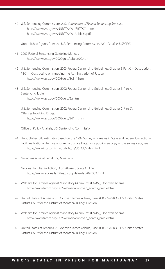40 U.S. Sentencing Commission's 2001 Sourcebook of Federal Sentencing Statistics. http://www.ussc.gov/ANNRPT/2001/SBTOC01.htm http://www.ussc.gov/ANNRPT/2001/table33.pdf

Unpublished figures from the U.S. Sentencing Commission, 2001 Datafile, USSCFY01.

- 41 2002 Federal Sentencing Guideline Manual. http://www.ussc.gov/2002guid/tabcon02.htm
- 42 U.S. Sentencing Commission, 2003 Federal Sentencing Guidelines, Chapter 3 Part C Obstruction, §3C1.1. Obstructing or Impeding the Administration of Justice. http://www.ussc.gov/2003guid/3c1\_1.htm
- 43 U.S. Sentencing Commission, 2002 Federal Sentencing Guidelines, Chapter 5, Part A: Sentencing Table. http://www.ussc.gov/2002guid/5a.htm

U.S. Sentencing Commission, 2002 Federal Sentencing Guidelines, Chapter 2, Part D: Offenses Involving Drugs. http://www.ussc.gov/2002guid/2d1\_1.htm

Office of Policy Analysis, U.S. Sentencing Commission.

- 44 Unpublished BJS estimates based on the 1997 Survey of Inmates in State and Federal Correctional Facilities, National Archive of Criminal Justice Data. For a public-use copy of the survey data, see http://www.icpsr.umich.edu/NACJD/SISFCF/index.html
- 45 Nevadans Against Legalizing Marijuana.

National Families in Action, Drug Abuse Update Online. http://www.nationalfamilies.org/update/dau-090302.html

- 46 Web site for Families Against Mandatory Minimums (FAMM), Donovan Adams. http://www.famm.org/Fed%20men/donovan\_adams\_profile.htm
- 47 United States of America vs. Donovan James Adams, Case #CR 97-20-BLG-JDS, United States District Court for the District of Montana, Billings Division.
- 48 Web site for Families Against Mandatory Minimums (FAMM), Donovan Adams. http://www.famm.org/Fed%20men/donovan\_adams\_profile.htm
- 49 United States of America vs. Donovan James Adams, Case #CR 97-20-BLG-JDS, United States District Court for the District of Montana, Billings Division.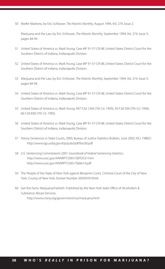50 Reefer Madness, by Eric Schlosser. The Atlantic Monthly, August 1994, Vol. 274, Issue 2.

Marijuana and the Law, by Eric Schlosser, The Atlantic Monthly, September 1994, Vol. 274, Issue 3; pages 84-94.

- 51 United States of America vs. Mark Young, Case #IP 91-57-CR-08, United States District Court for the Southern District of Indiana, Indianapolis Division.
- 52 United States of America vs. Mark Young, Case #IP 91-57-CR-08, United States District Court for the Southern District of Indiana, Indianapolis Division.
- 53 Marijuana and the Law, by Eric Schlosser. The Atlantic Monthly, September 1994, Vol. 274, Issue 3; pages 84-94.
- 54 United States of America vs. Mark Young, Case #IP 91-57-CR-08, United States District Court for the Southern District of Indiana, Indianapolis Division.
- 55 United States of America vs. Mark Young, 997 F.2d 1204 (7th Cir. 1993), 34 F.3d 500 (7th Cir. 1994), 66 F.3d 830 (7th Cir. 1995).
- 56 United States of America vs. Mark Young, Case #IP 91-57-CR-08, United States District Court for the Southern District of Indiana, Indianapolis Division.
- 57 Felony Sentences in State Courts, 2000, Bureau of Justice Statistics Bulletin, June 2003, NCJ 198821. http://www.ojp.usdoj.gov/bjs/pub/pdf/fssc00.pdf
- 58 U.S. Sentencing Commission's 2001 Sourcebook of Federal Sentencing Statistics. http://www.ussc.gov/ANNRPT/2001/SBTOC01.htm http://www.ussc.gov/ANNRPT/2001/Table14.pdf
- 59 The People of the State of New York against Benjamin Curtis. Criminal Court of the City of New York, County of New York, Docket Number 2003NY010544.
- 60 Get the Facts: Marijuana/Hashish. Published by the New York State Office of Alcoholism & Substance Abuse Services. http://www.crisny.org/government/ny/marijuana.html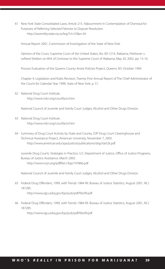61 New York State Consolidated Laws, Article 215. Adjournment in Contemplation of Dismissal for Purposes of Referring Selected Felonies to Dispute Resolution. http://assembly.state.ny.us/leg/?cl=25&a=34

Annual Report 2001, Commission of Investigation of the State of New York.

Opinion of the Court, Supreme Court of the United States, No. 00-1214, Alabama, Petitioner v. LeReed Shelton on Writ of Certiorari to the Supreme Court of Alabama, May 20, 2002, pp. 15-16.

Process Evaluation of the Queens County Arrest Policies Project, Queens, NY, October 1999.

Chapter 4: Legislation and Rules Revision, Twenty-First Annual Report of The Chief Administrator of the Courts for Calendar Year 1998, State of New York, p. 51.

62 National Drug Court Institute. http://www.ndci.org/courtfacts.htm

National Council of Juvenile and Family Court Judges, Alcohol and Other Drugs Division.

- 63 National Drug Court Institute. http://www.ndci.org/courtfacts.htm
- 64 Summary of Drug Court Activity by State and County, OJP Drug Court Clearinghouse and Technical Assistance Project, American University, November 7, 2003. http://www.american.edu/spa/justice/publications/drgchart2k.pdf

Juvenile Drug Courts: Strategies in Practice, U.S. Department of Justice, Office of Justice Programs, Bureau of Justice Assistance, March 2003. http://www.ncjrs.org/pdffiles1/bja/197866.pdf

National Council of Juvenile and Family Court Judges, Alcohol and Other Drugs Division.

65 Federal Drug Offenders, 1999, with Trends 198499. Bureau of Justice Statistics, August 2001, NCJ 187285:

http://www.ojp.usdoj.gov/bjs/pub/pdf/fdo99.pdf

66 Federal Drug Offenders, 1999, with Trends 1984-99. Bureau of Justice Statistics, August 2001, NCJ 187285:

http://www.ojp.usdoj.gov/bjs/pub/pdf/fdo99.pdf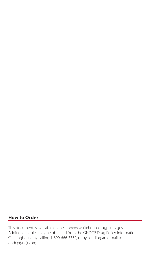#### **How to Order**

This document is available online at www.whitehousedrugpolicy.gov. Additional copies may be obtained from the ONDCP Drug Policy Information Clearinghouse by calling 1-800-666-3332, or by sending an e-mail to ondcp@ncjrs.org.